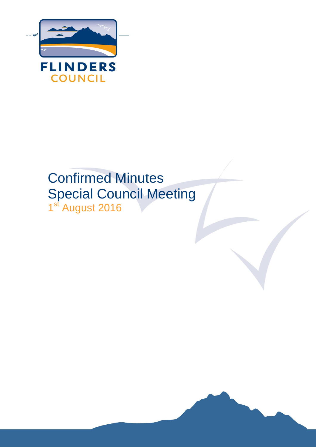

# Confirmed Minutes Special Council Meeting 1<sup>st</sup> August 2016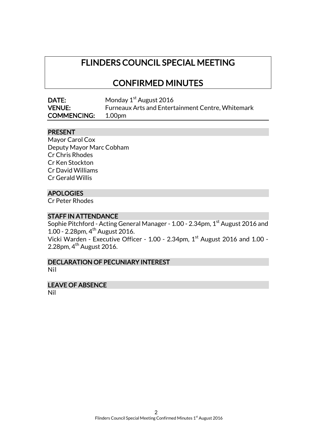# FLINDERS COUNCIL SPECIAL MEETING

# CONFIRMED MINUTES

| <b>DATE:</b>       | Monday 1 <sup>st</sup> August 2016                |
|--------------------|---------------------------------------------------|
| <b>VENUE:</b>      | Furneaux Arts and Entertainment Centre, Whitemark |
| <b>COMMENCING:</b> | 1.00pm                                            |

#### PRESENT

Mayor Carol Cox Deputy Mayor Marc Cobham Cr Chris Rhodes Cr Ken Stockton Cr David Williams Cr Gerald Willis

#### **APOLOGIES**

Cr Peter Rhodes

#### STAFF IN ATTENDANCE

Sophie Pitchford - Acting General Manager - 1.00 - 2.34pm, 1<sup>st</sup> August 2016 and 1.00 - 2.28pm, 4th August 2016. Vicki Warden - Executive Officer - 1.00 - 2.34pm, 1<sup>st</sup> August 2016 and 1.00 -2.28pm,  $4<sup>th</sup>$  August 2016.

DECLARATION OF PECUNIARY INTEREST Nil

# LEAVE OF ABSENCE

Nil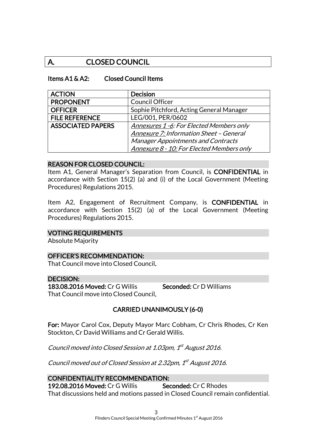# A. CLOSED COUNCIL

#### Items A1 & A2: Closed Council Items

| <b>ACTION</b>            | <b>Decision</b>                                 |  |
|--------------------------|-------------------------------------------------|--|
| <b>PROPONENT</b>         | Council Officer                                 |  |
| <b>OFFICER</b>           | Sophie Pitchford, Acting General Manager        |  |
| <b>FILE REFERENCE</b>    | LEG/001, PER/0602                               |  |
| <b>ASSOCIATED PAPERS</b> | <b>Annexures 1 -6: For Elected Members only</b> |  |
|                          | Annexure 7: Information Sheet - General         |  |
|                          | <b>Manager Appointments and Contracts</b>       |  |
|                          | Annexure 8 - 10: For Elected Members only       |  |

#### REASON FOR CLOSED COUNCIL:

Item A1, General Manager's Separation from Council, is CONFIDENTIAL in accordance with Section 15(2) (a) and (i) of the Local Government (Meeting Procedures) Regulations 2015.

Item A2, Engagement of Recruitment Company, is CONFIDENTIAL in accordance with Section 15(2) (a) of the Local Government (Meeting Procedures) Regulations 2015.

#### VOTING REQUIREMENTS

Absolute Majority

#### OFFICER'S RECOMMENDATION:

That Council move into Closed Council.

#### DECISION:

183.08.2016 Moved: Cr G Willis Seconded: Cr D Williams That Council move into Closed Council.

## CARRIED UNANIMOUSLY (6-0)

For: Mayor Carol Cox, Deputy Mayor Marc Cobham, Cr Chris Rhodes, Cr Ken Stockton, Cr David Williams and Cr Gerald Willis.

Council moved into Closed Session at 1.03pm, 1st August 2016.

Council moved out of Closed Session at 2.32pm, 1st August 2016.

#### CONFIDENTIALITY RECOMMENDATION:

192.08.2016 Moved: Cr G Willis Seconded: Cr C Rhodes That discussions held and motions passed in Closed Council remain confidential.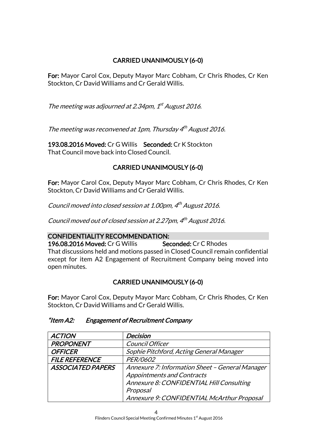# CARRIED UNANIMOUSLY (6-0)

For: Mayor Carol Cox, Deputy Mayor Marc Cobham, Cr Chris Rhodes, Cr Ken Stockton, Cr David Williams and Cr Gerald Willis.

The meeting was adjourned at 2.34pm, 1<sup>st</sup> August 2016.

The meeting was reconvened at 1pm, Thursday 4<sup>th</sup> August 2016.

193.08.2016 Moved: Cr G Willis Seconded: Cr K Stockton That Council move back into Closed Council.

## CARRIED UNANIMOUSLY (6-0)

For: Mayor Carol Cox, Deputy Mayor Marc Cobham, Cr Chris Rhodes, Cr Ken Stockton, Cr David Williams and Cr Gerald Willis.

Council moved into closed session at 1.00pm, 4<sup>th</sup> August 2016.

Council moved out of closed session at 2.27pm, 4 th August 2016.

#### CONFIDENTIALITY RECOMMENDATION:

196.08.2016 Moved: Cr G Willis Seconded: Cr C Rhodes That discussions held and motions passed in Closed Council remain confidential except for item A2 Engagement of Recruitment Company being moved into open minutes.

# CARRIED UNANIMOUSLY (6-0)

For: Mayor Carol Cox, Deputy Mayor Marc Cobham, Cr Chris Rhodes, Cr Ken Stockton, Cr David Williams and Cr Gerald Willis.

#### "Item A2: Engagement of Recruitment Company

| <b>ACTION</b>            | Decision                                        |
|--------------------------|-------------------------------------------------|
| <b>PROPONENT</b>         | Council Officer                                 |
| <b>OFFICER</b>           | Sophie Pitchford, Acting General Manager        |
| <b>FILE REFERENCE</b>    | PER/0602                                        |
| <b>ASSOCIATED PAPERS</b> | Annexure 7: Information Sheet - General Manager |
|                          | <b>Appointments and Contracts</b>               |
|                          | Annexure 8: CONFIDENTIAL Hill Consulting        |
|                          | Proposal                                        |
|                          | Annexure 9: CONFIDENTIAL McArthur Proposal      |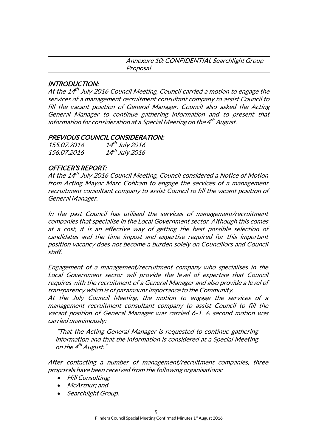| Annexure 10: CONFIDENTIAL Searchlight Group |
|---------------------------------------------|
| Proposal                                    |

#### INTRODUCTION:

At the 14<sup>th</sup> July 2016 Council Meeting, Council carried a motion to engage the services of a management recruitment consultant company to assist Council to fill the vacant position of General Manager. Council also asked the Acting General Manager to continue gathering information and to present that information for consideration at a Special Meeting on the 4<sup>th</sup> August.

#### PREVIOUS COUNCIL CONSIDERATION:

| 155.07.2016        | $14^{th}$ July 2016 |
|--------------------|---------------------|
| <i>156.07.2016</i> | $14^{th}$ July 2016 |

#### OFFICER'S REPORT:

At the 14<sup>th</sup> July 2016 Council Meeting, Council considered a Notice of Motion from Acting Mayor Marc Cobham to engage the services of a management recruitment consultant company to assist Council to fill the vacant position of General Manager.

In the past Council has utilised the services of management/recruitment companies that specialise in the Local Government sector. Although this comes at a cost, it is an effective way of getting the best possible selection of candidates and the time impost and expertise required for this important position vacancy does not become a burden solely on Councillors and Council staff.

Engagement of a management/recruitment company who specialises in the Local Government sector will provide the level of expertise that Council requires with the recruitment of a General Manager and also provide a level of transparency which is of paramount importance to the Community.

At the July Council Meeting, the motion to engage the services of a management recruitment consultant company to assist Council to fill the vacant position of General Manager was carried 6-1. A second motion was carried unanimously:

"That the Acting General Manager is requested to continue gathering information and that the information is considered at a Special Meeting on the 4<sup>th</sup> August."

After contacting a number of management/recruitment companies, three proposals have been received from the following organisations:

- Hill Consulting:
- McArthur; and
- Searchlight Group.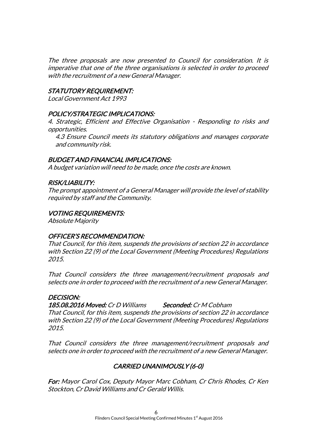The three proposals are now presented to Council for consideration. It is imperative that one of the three organisations is selected in order to proceed with the recruitment of a new General Manager.

#### STATUTORY REQUIREMENT:

Local Government Act 1993

#### POLICY/STRATEGIC IMPLICATIONS:

4. Strategic, Efficient and Effective Organisation - Responding to risks and opportunities.

4.3 Ensure Council meets its statutory obligations and manages corporate and community risk.

#### BUDGET AND FINANCIAL IMPLICATIONS:

A budget variation will need to be made, once the costs are known.

#### RISK/LIABILITY:

The prompt appointment of a General Manager will provide the level of stability required by staff and the Community.

#### VOTING REQUIREMENTS:

Absolute Majority

#### OFFICER'S RECOMMENDATION:

That Council, for this item, suspends the provisions of section 22 in accordance with Section 22 (9) of the Local Government (Meeting Procedures) Regulations 2015.

That Council considers the three management/recruitment proposals and selects one in order to proceed with the recruitment of a new General Manager.

#### DECISION:

185.08.2016 Moved: Cr D Williams Seconded: Cr M Cobham

That Council, for this item, suspends the provisions of section 22 in accordance with Section 22 (9) of the Local Government (Meeting Procedures) Regulations 2015.

That Council considers the three management/recruitment proposals and selects one in order to proceed with the recruitment of a new General Manager.

## CARRIED UNANIMOUSLY (6-0)

For: Mayor Carol Cox, Deputy Mayor Marc Cobham, Cr Chris Rhodes, Cr Ken Stockton, Cr David Williams and Cr Gerald Willis.